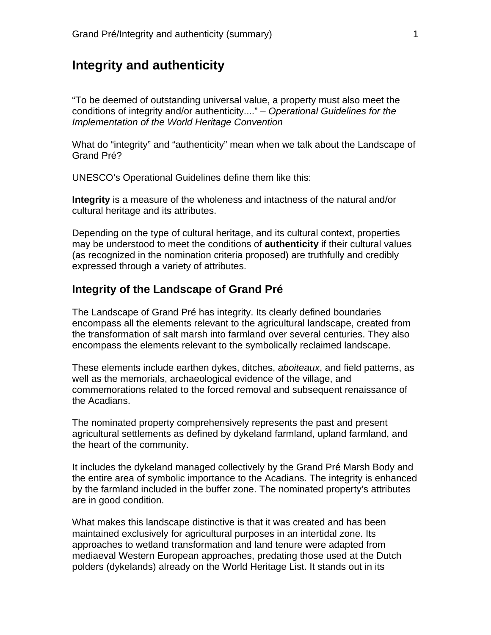## **Integrity and authenticity**

"To be deemed of outstanding universal value, a property must also meet the conditions of integrity and/or authenticity...." – *Operational Guidelines for the Implementation of the World Heritage Convention* 

What do "integrity" and "authenticity" mean when we talk about the Landscape of Grand Pré?

UNESCO's Operational Guidelines define them like this:

**Integrity** is a measure of the wholeness and intactness of the natural and/or cultural heritage and its attributes.

Depending on the type of cultural heritage, and its cultural context, properties may be understood to meet the conditions of **authenticity** if their cultural values (as recognized in the nomination criteria proposed) are truthfully and credibly expressed through a variety of attributes.

## **Integrity of the Landscape of Grand Pré**

The Landscape of Grand Pré has integrity. Its clearly defined boundaries encompass all the elements relevant to the agricultural landscape, created from the transformation of salt marsh into farmland over several centuries. They also encompass the elements relevant to the symbolically reclaimed landscape.

These elements include earthen dykes, ditches, *aboiteaux*, and field patterns, as well as the memorials, archaeological evidence of the village, and commemorations related to the forced removal and subsequent renaissance of the Acadians.

The nominated property comprehensively represents the past and present agricultural settlements as defined by dykeland farmland, upland farmland, and the heart of the community.

It includes the dykeland managed collectively by the Grand Pré Marsh Body and the entire area of symbolic importance to the Acadians. The integrity is enhanced by the farmland included in the buffer zone. The nominated property's attributes are in good condition.

What makes this landscape distinctive is that it was created and has been maintained exclusively for agricultural purposes in an intertidal zone. Its approaches to wetland transformation and land tenure were adapted from mediaeval Western European approaches, predating those used at the Dutch polders (dykelands) already on the World Heritage List. It stands out in its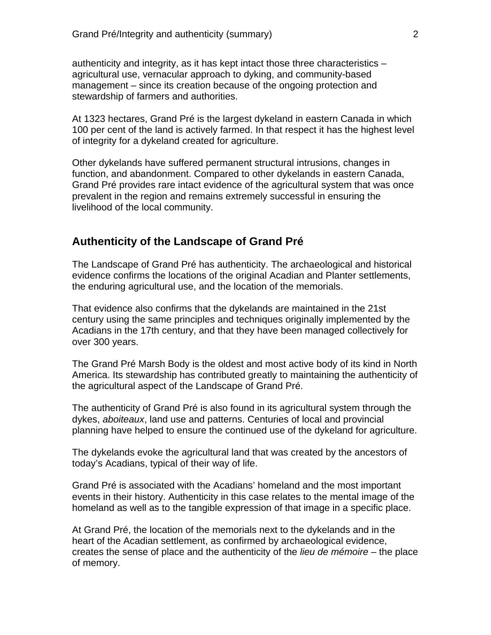authenticity and integrity, as it has kept intact those three characteristics – agricultural use, vernacular approach to dyking, and community-based management – since its creation because of the ongoing protection and stewardship of farmers and authorities.

At 1323 hectares, Grand Pré is the largest dykeland in eastern Canada in which 100 per cent of the land is actively farmed. In that respect it has the highest level of integrity for a dykeland created for agriculture.

Other dykelands have suffered permanent structural intrusions, changes in function, and abandonment. Compared to other dykelands in eastern Canada, Grand Pré provides rare intact evidence of the agricultural system that was once prevalent in the region and remains extremely successful in ensuring the livelihood of the local community.

## **Authenticity of the Landscape of Grand Pré**

The Landscape of Grand Pré has authenticity. The archaeological and historical evidence confirms the locations of the original Acadian and Planter settlements, the enduring agricultural use, and the location of the memorials.

That evidence also confirms that the dykelands are maintained in the 21st century using the same principles and techniques originally implemented by the Acadians in the 17th century, and that they have been managed collectively for over 300 years.

The Grand Pré Marsh Body is the oldest and most active body of its kind in North America. Its stewardship has contributed greatly to maintaining the authenticity of the agricultural aspect of the Landscape of Grand Pré.

The authenticity of Grand Pré is also found in its agricultural system through the dykes, *aboiteaux*, land use and patterns. Centuries of local and provincial planning have helped to ensure the continued use of the dykeland for agriculture.

The dykelands evoke the agricultural land that was created by the ancestors of today's Acadians, typical of their way of life.

Grand Pré is associated with the Acadians' homeland and the most important events in their history. Authenticity in this case relates to the mental image of the homeland as well as to the tangible expression of that image in a specific place.

At Grand Pré, the location of the memorials next to the dykelands and in the heart of the Acadian settlement, as confirmed by archaeological evidence, creates the sense of place and the authenticity of the *lieu de mémoire* – the place of memory.